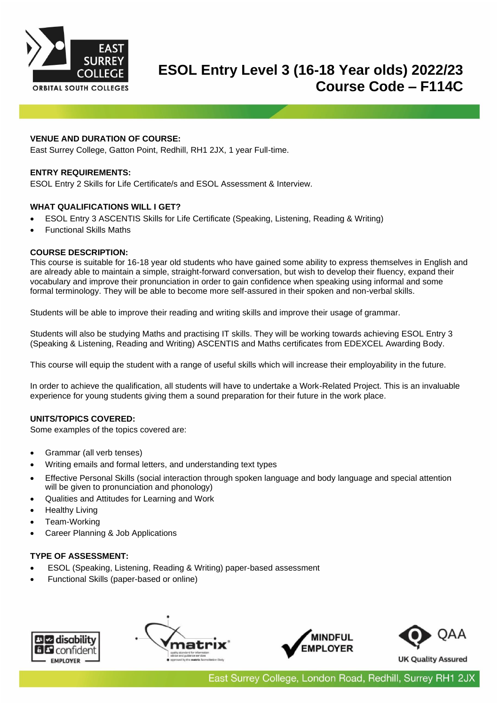

# **ESOL Entry Level 3 (16-18 Year olds) 2022/23 Course Code – F114C**

# **VENUE AND DURATION OF COURSE:**

East Surrey College, Gatton Point, Redhill, RH1 2JX, 1 year Full-time.

# **ENTRY REQUIREMENTS:**

ESOL Entry 2 Skills for Life Certificate/s and ESOL Assessment & Interview.

#### **WHAT QUALIFICATIONS WILL I GET?**

- ESOL Entry 3 ASCENTIS Skills for Life Certificate (Speaking, Listening, Reading & Writing)
- Functional Skills Maths

#### **COURSE DESCRIPTION:**

This course is suitable for 16-18 year old students who have gained some ability to express themselves in English and are already able to maintain a simple, straight-forward conversation, but wish to develop their fluency, expand their vocabulary and improve their pronunciation in order to gain confidence when speaking using informal and some formal terminology. They will be able to become more self-assured in their spoken and non-verbal skills.

Students will be able to improve their reading and writing skills and improve their usage of grammar.

Students will also be studying Maths and practising IT skills. They will be working towards achieving ESOL Entry 3 (Speaking & Listening, Reading and Writing) ASCENTIS and Maths certificates from EDEXCEL Awarding Body.

This course will equip the student with a range of useful skills which will increase their employability in the future.

In order to achieve the qualification, all students will have to undertake a Work-Related Project. This is an invaluable experience for young students giving them a sound preparation for their future in the work place.

# **UNITS/TOPICS COVERED:**

Some examples of the topics covered are:

- Grammar (all verb tenses)
- Writing emails and formal letters, and understanding text types
- Effective Personal Skills (social interaction through spoken language and body language and special attention will be given to pronunciation and phonology)
- Qualities and Attitudes for Learning and Work
- **Healthy Living**
- Team-Working
- Career Planning & Job Applications

# **TYPE OF ASSESSMENT:**

- ESOL (Speaking, Listening, Reading & Writing) paper-based assessment
- Functional Skills (paper-based or online)